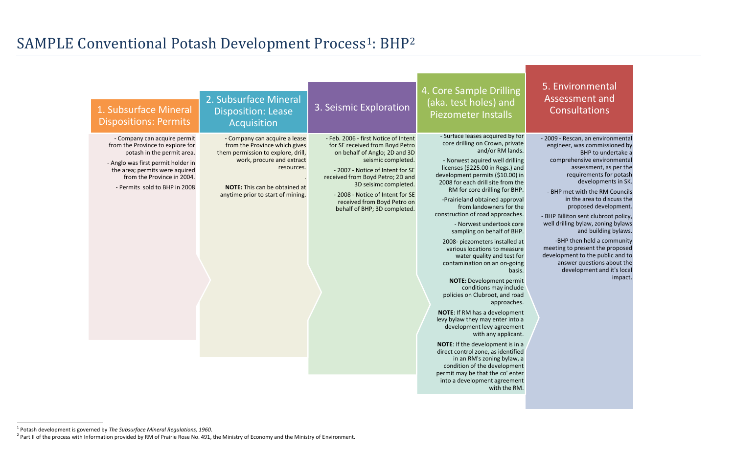$\overline{a}$ 

- 2009 - Rescan, an environmental engineer, was commissioned by BHP to undertake a comprehensive environmental assessment, as per the requirements for potash developments in SK.

- BHP met with the RM Councils in the area to discuss the proposed development.

- BHP Billiton sent clubroot policy, well drilling bylaw, zoning bylaws and building bylaws.

-BHP then held a community meeting to present the proposed development to the public and to answer questions about the development and it's local impact.

### 5. Environmental Assessment and Consultations

# SAMPLE Conventional Potash Development Process<sup>1</sup>: BHP<sup>2</sup>

| 1. Subsurface Mineral<br><b>Dispositions: Permits</b>                                                                                                                                                                                 | 2. Subsurface Mineral<br><b>Disposition: Lease</b><br>Acquisition                                                                                                                                                            | 3. Seismic Exploration                                                                                                                                                                                                                                                                                                             | 4. Core Sample Drilling<br>(aka. test holes) and<br><b>Piezometer Installs</b>                                                                                                                                                                                                                                                                                                                                                                                                                                                                                                                                                                                                                                                                                                                                                                                                                                                                                                                                                           |
|---------------------------------------------------------------------------------------------------------------------------------------------------------------------------------------------------------------------------------------|------------------------------------------------------------------------------------------------------------------------------------------------------------------------------------------------------------------------------|------------------------------------------------------------------------------------------------------------------------------------------------------------------------------------------------------------------------------------------------------------------------------------------------------------------------------------|------------------------------------------------------------------------------------------------------------------------------------------------------------------------------------------------------------------------------------------------------------------------------------------------------------------------------------------------------------------------------------------------------------------------------------------------------------------------------------------------------------------------------------------------------------------------------------------------------------------------------------------------------------------------------------------------------------------------------------------------------------------------------------------------------------------------------------------------------------------------------------------------------------------------------------------------------------------------------------------------------------------------------------------|
| - Company can acquire permit<br>from the Province to explore for<br>potash in the permit area.<br>- Anglo was first permit holder in<br>the area; permits were aquired<br>from the Province in 2004.<br>- Permits sold to BHP in 2008 | - Company can acquire a lease<br>from the Province which gives<br>them permission to explore, drill,<br>work, procure and extract<br>resources.<br><b>NOTE:</b> This can be obtained at<br>anytime prior to start of mining. | - Feb. 2006 - first Notice of Intent<br>for SE received from Boyd Petro<br>on behalf of Anglo; 2D and 3D<br>seismic completed.<br>- 2007 - Notice of Intent for SE<br>received from Boyd Petro; 2D and<br>3D seisimc completed.<br>- 2008 - Notice of Intent for SE<br>received from Boyd Petro on<br>behalf of BHP; 3D completed. | - Surface leases acquired by for<br>core drilling on Crown, private<br>and/or RM lands.<br>- Norwest aquired well drilling<br>licenses (\$225.00 in Regs.) and<br>development permits (\$10.00) in<br>2008 for each drill site from the<br>RM for core drilling for BHP.<br>-Prairieland obtained approval<br>from landowners for the<br>construction of road approaches.<br>- Norwest undertook core<br>sampling on behalf of BHP.<br>2008- piezometers installed at<br>various locations to measure<br>water quality and test for<br>contamination on an on-going<br>basis.<br><b>NOTE: Development permit</b><br>conditions may include<br>policies on Clubroot, and road<br>approaches.<br><b>NOTE:</b> If RM has a development<br>levy bylaw they may enter into a<br>development levy agreement<br>with any applicant.<br>NOTE: If the development is in a<br>direct control zone, as identified<br>in an RM's zoning bylaw, a<br>condition of the development<br>permit may be that the co' enter<br>into a development agreement |

<sup>1</sup> Potash development is governed by *The Subsurface Mineral Regulations, 1960*.

<sup>&</sup>lt;sup>2</sup> Part II of the process with Information provided by RM of Prairie Rose No. 491, the Ministry of Economy and the Ministry of Environment.